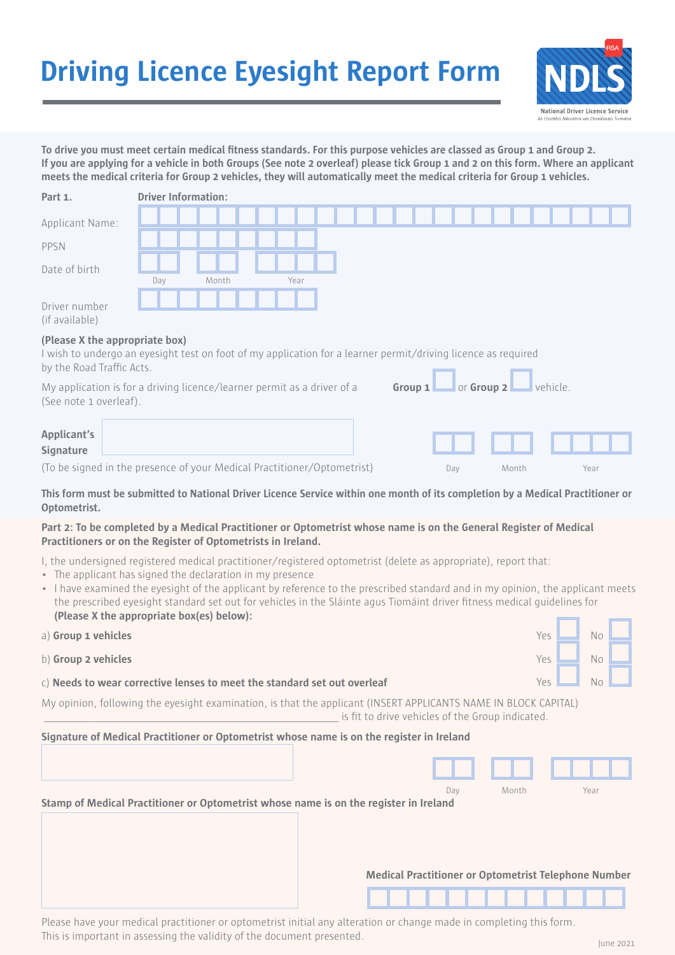## **Driving Licence Eyesight Report Form**



To drive you must meet certain medical fitness standards. For this purpose vehicles are classed as Group 1 and Group 2. **If you are applying for a vehicle in both Groups (See note 2 overleaf) please tick Group 1 and 2 on this form. Where an applicant meets the medical criteria for Group 2 vehicles, they will automatically meet the medical criteria for Group 1 vehicles.**

| Part 1.                                                                                                                                                                                                                                                                                                                                                                                                                                                                                 | <b>Driver Information:</b> |  |       |  |      |  |  |           |  |     |                                                  |       |          |                                                             |  |
|-----------------------------------------------------------------------------------------------------------------------------------------------------------------------------------------------------------------------------------------------------------------------------------------------------------------------------------------------------------------------------------------------------------------------------------------------------------------------------------------|----------------------------|--|-------|--|------|--|--|-----------|--|-----|--------------------------------------------------|-------|----------|-------------------------------------------------------------|--|
| Applicant Name:                                                                                                                                                                                                                                                                                                                                                                                                                                                                         |                            |  |       |  |      |  |  |           |  |     |                                                  |       |          |                                                             |  |
| PPSN                                                                                                                                                                                                                                                                                                                                                                                                                                                                                    |                            |  |       |  |      |  |  |           |  |     |                                                  |       |          |                                                             |  |
| Date of birth                                                                                                                                                                                                                                                                                                                                                                                                                                                                           | Day                        |  | Month |  | Year |  |  |           |  |     |                                                  |       |          |                                                             |  |
| Driver number<br>(if available)                                                                                                                                                                                                                                                                                                                                                                                                                                                         |                            |  |       |  |      |  |  |           |  |     |                                                  |       |          |                                                             |  |
| (Please X the appropriate box)<br>I wish to undergo an eyesight test on foot of my application for a learner permit/driving licence as required<br>by the Road Traffic Acts.                                                                                                                                                                                                                                                                                                            |                            |  |       |  |      |  |  |           |  |     |                                                  |       |          |                                                             |  |
| My application is for a driving licence/learner permit as a driver of a<br>(See note 1 overleaf).                                                                                                                                                                                                                                                                                                                                                                                       |                            |  |       |  |      |  |  | Group $1$ |  |     | <b>or Group 2</b>                                |       | vehicle. |                                                             |  |
| Applicant's<br>Signature                                                                                                                                                                                                                                                                                                                                                                                                                                                                |                            |  |       |  |      |  |  |           |  |     |                                                  |       |          |                                                             |  |
| (To be signed in the presence of your Medical Practitioner/Optometrist)                                                                                                                                                                                                                                                                                                                                                                                                                 |                            |  |       |  |      |  |  |           |  | Day |                                                  | Month |          | Year                                                        |  |
| This form must be submitted to National Driver Licence Service within one month of its completion by a Medical Practitioner or<br>Optometrist.                                                                                                                                                                                                                                                                                                                                          |                            |  |       |  |      |  |  |           |  |     |                                                  |       |          |                                                             |  |
| Part 2: To be completed by a Medical Practitioner or Optometrist whose name is on the General Register of Medical<br>Practitioners or on the Register of Optometrists in Ireland.                                                                                                                                                                                                                                                                                                       |                            |  |       |  |      |  |  |           |  |     |                                                  |       |          |                                                             |  |
| I, the undersigned registered medical practitioner/registered optometrist (delete as appropriate), report that:<br>• The applicant has signed the declaration in my presence<br>• I have examined the eyesight of the applicant by reference to the prescribed standard and in my opinion, the applicant meets<br>the prescribed eyesight standard set out for vehicles in the Sláinte agus Tiomáint driver fitness medical quidelines for<br>(Please X the appropriate box(es) below): |                            |  |       |  |      |  |  |           |  |     |                                                  |       |          |                                                             |  |
| a) Group 1 vehicles                                                                                                                                                                                                                                                                                                                                                                                                                                                                     |                            |  |       |  |      |  |  |           |  |     |                                                  |       | Yes      | N <sub>o</sub>                                              |  |
| b) Group 2 vehicles                                                                                                                                                                                                                                                                                                                                                                                                                                                                     |                            |  |       |  |      |  |  |           |  |     |                                                  |       | Yes      | <b>No</b>                                                   |  |
| c) Needs to wear corrective lenses to meet the standard set out overleaf                                                                                                                                                                                                                                                                                                                                                                                                                |                            |  |       |  |      |  |  |           |  |     |                                                  |       | Yes      | Nο                                                          |  |
| My opinion, following the eyesight examination, is that the applicant (INSERT APPLICANTS NAME IN BLOCK CAPITAL)                                                                                                                                                                                                                                                                                                                                                                         |                            |  |       |  |      |  |  |           |  |     | is fit to drive vehicles of the Group indicated. |       |          |                                                             |  |
| Signature of Medical Practitioner or Optometrist whose name is on the register in Ireland                                                                                                                                                                                                                                                                                                                                                                                               |                            |  |       |  |      |  |  |           |  |     |                                                  |       |          |                                                             |  |
|                                                                                                                                                                                                                                                                                                                                                                                                                                                                                         |                            |  |       |  |      |  |  |           |  |     |                                                  |       |          |                                                             |  |
| Stamp of Medical Practitioner or Optometrist whose name is on the register in Ireland                                                                                                                                                                                                                                                                                                                                                                                                   |                            |  |       |  |      |  |  |           |  | Day |                                                  | Month |          | Year                                                        |  |
|                                                                                                                                                                                                                                                                                                                                                                                                                                                                                         |                            |  |       |  |      |  |  |           |  |     |                                                  |       |          |                                                             |  |
|                                                                                                                                                                                                                                                                                                                                                                                                                                                                                         |                            |  |       |  |      |  |  |           |  |     |                                                  |       |          | <b>Medical Practitioner or Optometrist Telephone Number</b> |  |
|                                                                                                                                                                                                                                                                                                                                                                                                                                                                                         |                            |  |       |  |      |  |  |           |  |     |                                                  |       |          |                                                             |  |

Please have your medical practitioner or optometrist initial any alteration or change made in completing this form. This is important in assessing the validity of the document presented.